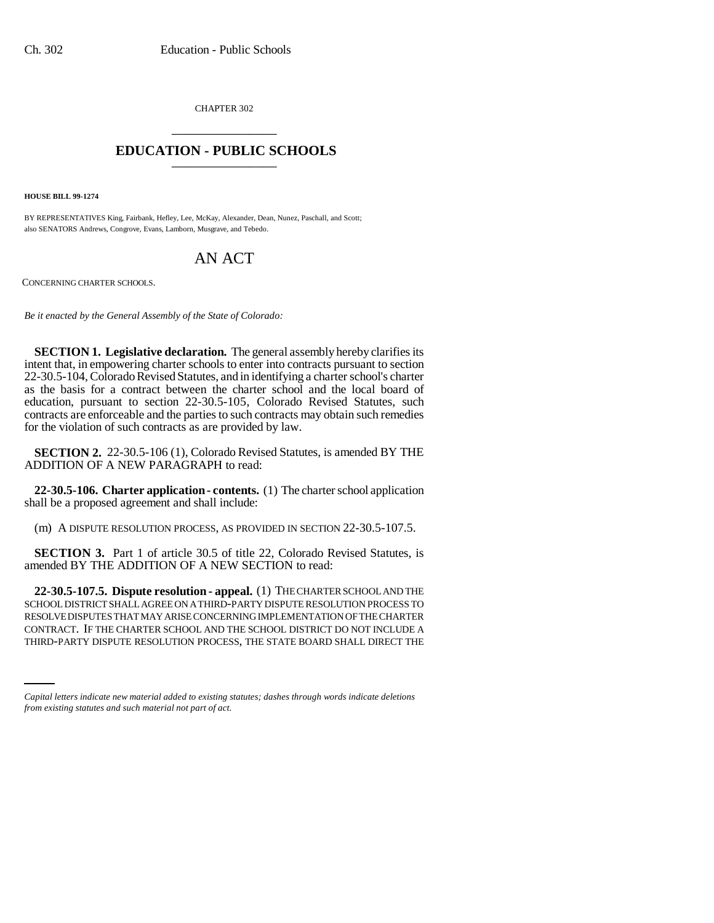CHAPTER 302 \_\_\_\_\_\_\_\_\_\_\_\_\_\_\_

## **EDUCATION - PUBLIC SCHOOLS** \_\_\_\_\_\_\_\_\_\_\_\_\_\_\_

**HOUSE BILL 99-1274** 

BY REPRESENTATIVES King, Fairbank, Hefley, Lee, McKay, Alexander, Dean, Nunez, Paschall, and Scott; also SENATORS Andrews, Congrove, Evans, Lamborn, Musgrave, and Tebedo.

## AN ACT

CONCERNING CHARTER SCHOOLS.

*Be it enacted by the General Assembly of the State of Colorado:*

**SECTION 1. Legislative declaration.** The general assembly hereby clarifies its intent that, in empowering charter schools to enter into contracts pursuant to section 22-30.5-104, Colorado Revised Statutes, and in identifying a charter school's charter as the basis for a contract between the charter school and the local board of education, pursuant to section 22-30.5-105, Colorado Revised Statutes, such contracts are enforceable and the parties to such contracts may obtain such remedies for the violation of such contracts as are provided by law.

**SECTION 2.** 22-30.5-106 (1), Colorado Revised Statutes, is amended BY THE ADDITION OF A NEW PARAGRAPH to read:

**22-30.5-106. Charter application - contents.** (1) The charter school application shall be a proposed agreement and shall include:

(m) A DISPUTE RESOLUTION PROCESS, AS PROVIDED IN SECTION 22-30.5-107.5.

**SECTION 3.** Part 1 of article 30.5 of title 22, Colorado Revised Statutes, is amended BY THE ADDITION OF A NEW SECTION to read:

CONTRACT. IF THE CHARTER SCHOOL AND THE SCHOOL DISTRICT DO NOT INCLUDE A **22-30.5-107.5. Dispute resolution - appeal.** (1) THE CHARTER SCHOOL AND THE SCHOOL DISTRICT SHALL AGREE ON A THIRD-PARTY DISPUTE RESOLUTION PROCESS TO RESOLVE DISPUTES THAT MAY ARISE CONCERNING IMPLEMENTATION OF THE CHARTER THIRD-PARTY DISPUTE RESOLUTION PROCESS, THE STATE BOARD SHALL DIRECT THE

*Capital letters indicate new material added to existing statutes; dashes through words indicate deletions from existing statutes and such material not part of act.*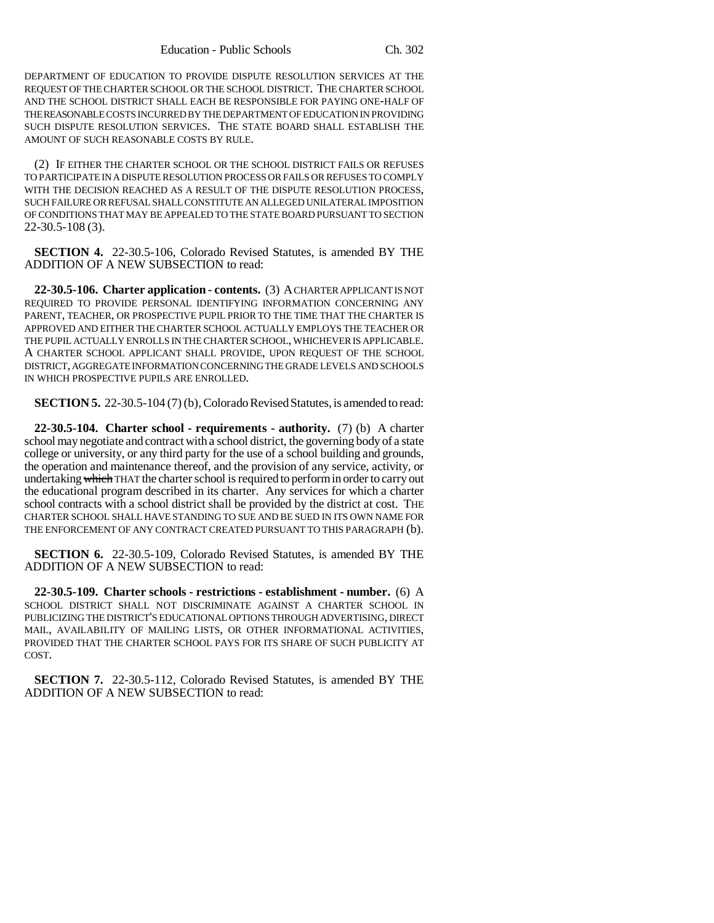DEPARTMENT OF EDUCATION TO PROVIDE DISPUTE RESOLUTION SERVICES AT THE REQUEST OF THE CHARTER SCHOOL OR THE SCHOOL DISTRICT. THE CHARTER SCHOOL AND THE SCHOOL DISTRICT SHALL EACH BE RESPONSIBLE FOR PAYING ONE-HALF OF THE REASONABLE COSTS INCURRED BY THE DEPARTMENT OF EDUCATION IN PROVIDING SUCH DISPUTE RESOLUTION SERVICES. THE STATE BOARD SHALL ESTABLISH THE AMOUNT OF SUCH REASONABLE COSTS BY RULE.

(2) IF EITHER THE CHARTER SCHOOL OR THE SCHOOL DISTRICT FAILS OR REFUSES TO PARTICIPATE IN A DISPUTE RESOLUTION PROCESS OR FAILS OR REFUSES TO COMPLY WITH THE DECISION REACHED AS A RESULT OF THE DISPUTE RESOLUTION PROCESS, SUCH FAILURE OR REFUSAL SHALL CONSTITUTE AN ALLEGED UNILATERAL IMPOSITION OF CONDITIONS THAT MAY BE APPEALED TO THE STATE BOARD PURSUANT TO SECTION 22-30.5-108 (3).

**SECTION 4.** 22-30.5-106, Colorado Revised Statutes, is amended BY THE ADDITION OF A NEW SUBSECTION to read:

**22-30.5-106. Charter application - contents.** (3) A CHARTER APPLICANT IS NOT REQUIRED TO PROVIDE PERSONAL IDENTIFYING INFORMATION CONCERNING ANY PARENT, TEACHER, OR PROSPECTIVE PUPIL PRIOR TO THE TIME THAT THE CHARTER IS APPROVED AND EITHER THE CHARTER SCHOOL ACTUALLY EMPLOYS THE TEACHER OR THE PUPIL ACTUALLY ENROLLS IN THE CHARTER SCHOOL, WHICHEVER IS APPLICABLE. A CHARTER SCHOOL APPLICANT SHALL PROVIDE, UPON REQUEST OF THE SCHOOL DISTRICT, AGGREGATE INFORMATION CONCERNING THE GRADE LEVELS AND SCHOOLS IN WHICH PROSPECTIVE PUPILS ARE ENROLLED.

**SECTION 5.** 22-30.5-104 (7) (b), Colorado Revised Statutes, is amended to read:

**22-30.5-104. Charter school - requirements - authority.** (7) (b) A charter school may negotiate and contract with a school district, the governing body of a state college or university, or any third party for the use of a school building and grounds, the operation and maintenance thereof, and the provision of any service, activity, or undertaking which THAT the charter school is required to perform in order to carry out the educational program described in its charter. Any services for which a charter school contracts with a school district shall be provided by the district at cost. THE CHARTER SCHOOL SHALL HAVE STANDING TO SUE AND BE SUED IN ITS OWN NAME FOR THE ENFORCEMENT OF ANY CONTRACT CREATED PURSUANT TO THIS PARAGRAPH (b).

**SECTION 6.** 22-30.5-109, Colorado Revised Statutes, is amended BY THE ADDITION OF A NEW SUBSECTION to read:

**22-30.5-109. Charter schools - restrictions - establishment - number.** (6) A SCHOOL DISTRICT SHALL NOT DISCRIMINATE AGAINST A CHARTER SCHOOL IN PUBLICIZING THE DISTRICT'S EDUCATIONAL OPTIONS THROUGH ADVERTISING, DIRECT MAIL, AVAILABILITY OF MAILING LISTS, OR OTHER INFORMATIONAL ACTIVITIES, PROVIDED THAT THE CHARTER SCHOOL PAYS FOR ITS SHARE OF SUCH PUBLICITY AT COST.

**SECTION 7.** 22-30.5-112, Colorado Revised Statutes, is amended BY THE ADDITION OF A NEW SUBSECTION to read: